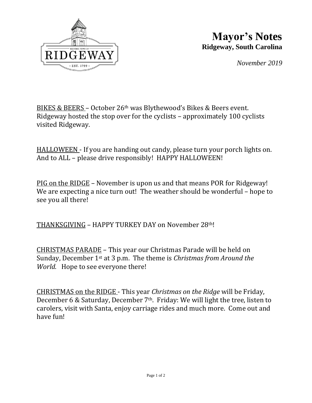

## **Mayor's Notes Ridgeway, South Carolina**

*November 2019*

BIKES & BEERS – October 26th was Blythewood's Bikes & Beers event. Ridgeway hosted the stop over for the cyclists – approximately 100 cyclists visited Ridgeway.

HALLOWEEN - If you are handing out candy, please turn your porch lights on. And to ALL – please drive responsibly! HAPPY HALLOWEEN!

PIG on the RIDGE – November is upon us and that means POR for Ridgeway! We are expecting a nice turn out! The weather should be wonderful – hope to see you all there!

THANKSGIVING – HAPPY TURKEY DAY on November 28th!

CHRISTMAS PARADE – This year our Christmas Parade will be held on Sunday, December 1st at 3 p.m. The theme is *Christmas from Around the World.* Hope to see everyone there!

CHRISTMAS on the RIDGE - This year *Christmas on the Ridge* will be Friday, December 6 & Saturday, December  $7<sup>th</sup>$ . Friday: We will light the tree, listen to carolers, visit with Santa, enjoy carriage rides and much more. Come out and have fun!